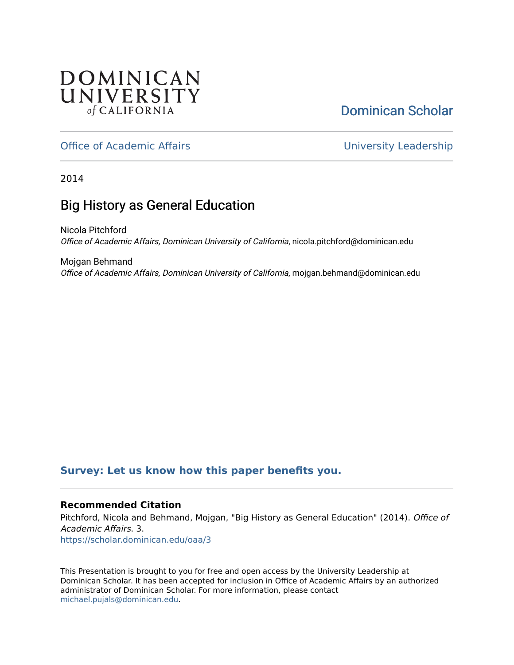#### DOMINICAN UNIVERSITY of CALIFORNIA

[Dominican Scholar](https://scholar.dominican.edu/) 

#### [Office of Academic Affairs](https://scholar.dominican.edu/oaa) **University Leadership**

2014

#### Big History as General Education

Nicola Pitchford Office of Academic Affairs, Dominican University of California, nicola.pitchford@dominican.edu

Mojgan Behmand Office of Academic Affairs, Dominican University of California, mojgan.behmand@dominican.edu

#### **[Survey: Let us know how this paper benefits you.](https://dominican.libwizard.com/dominican-scholar-feedback)**

#### **Recommended Citation**

Pitchford, Nicola and Behmand, Mojgan, "Big History as General Education" (2014). Office of Academic Affairs. 3. [https://scholar.dominican.edu/oaa/3](https://scholar.dominican.edu/oaa/3?utm_source=scholar.dominican.edu%2Foaa%2F3&utm_medium=PDF&utm_campaign=PDFCoverPages) 

This Presentation is brought to you for free and open access by the University Leadership at Dominican Scholar. It has been accepted for inclusion in Office of Academic Affairs by an authorized administrator of Dominican Scholar. For more information, please contact [michael.pujals@dominican.edu.](mailto:michael.pujals@dominican.edu)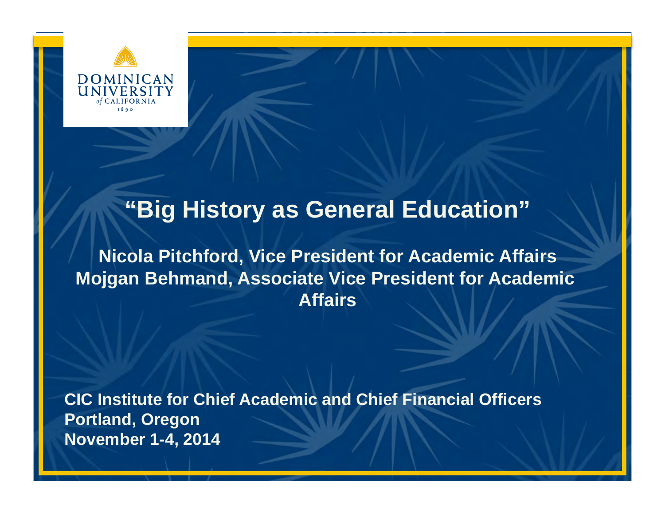

#### **"Big History as General Education"**

**Nicola Pitchford, Vice President for Academic Affairs Mojgan Behmand, Associate Vice President for Academic Affairs**

**CIC Institute for Chief Academic and Chief Financial Officers Portland, Oregon November 1-4, 2014**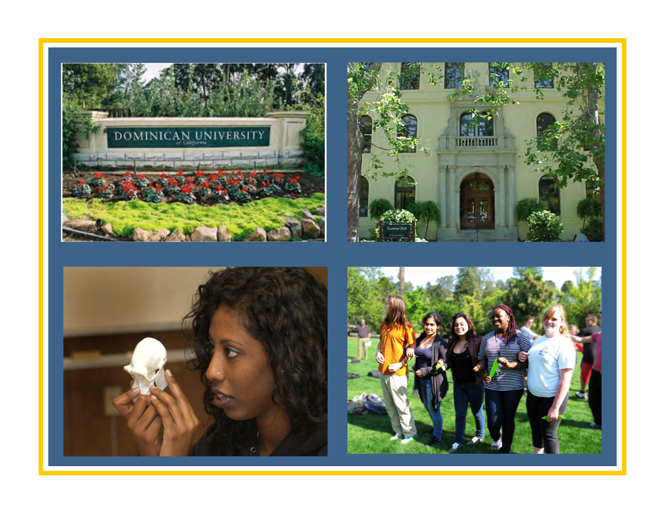





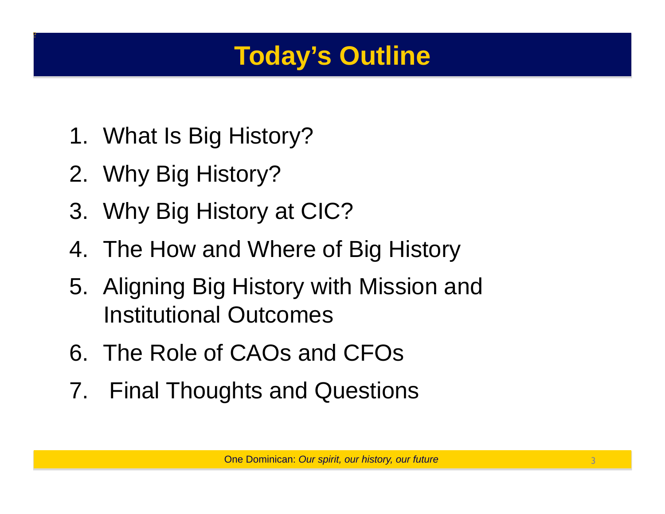### **Today's Outline**

- 1. What Is Big History?
- 2. Why Big History?
- 3. Why Big History at CIC?
- 4. The How and Where of Big History
- 5. Aligning Big History with Mission and Institutional Outcomes
- 6. The Role of CAOs and CFOs
- 7. Final Thoughts and Questions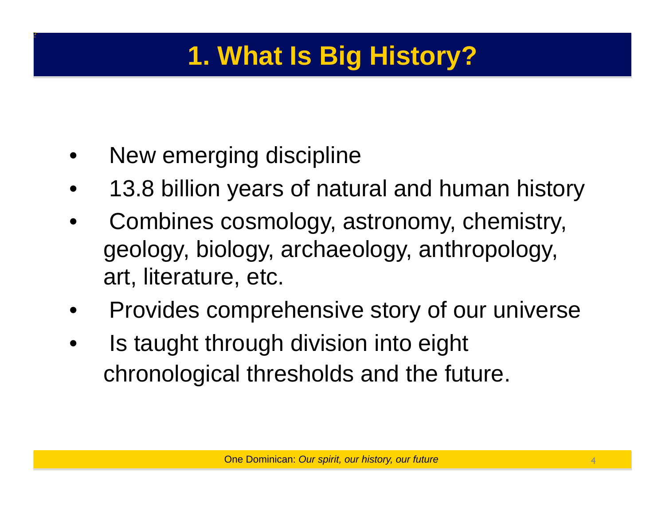## **1. What Is Big History?**

- New emerging discipline
- 13.8 billion years of natural and human history
- Combines cosmology, astronomy, chemistry, geology, biology, archaeology, anthropology, art, literature, etc.
- Provides comprehensive story of our universe
- Is taught through division into eight chronological thresholds and the future.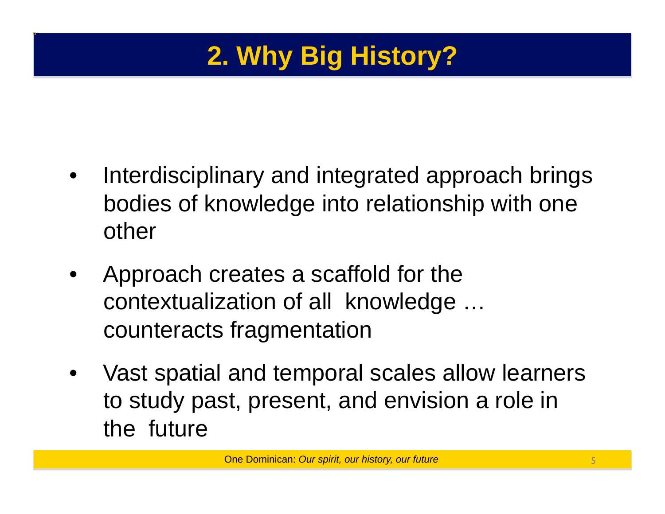## **2. Why Big History?**

- Interdisciplinary and integrated approach brings bodies of knowledge into relationship with one other
- Approach creates a scaffold for the contextualization of all knowledge … counteracts fragmentation
- Vast spatial and temporal scales allow learners to study past, present, and envision a role in the future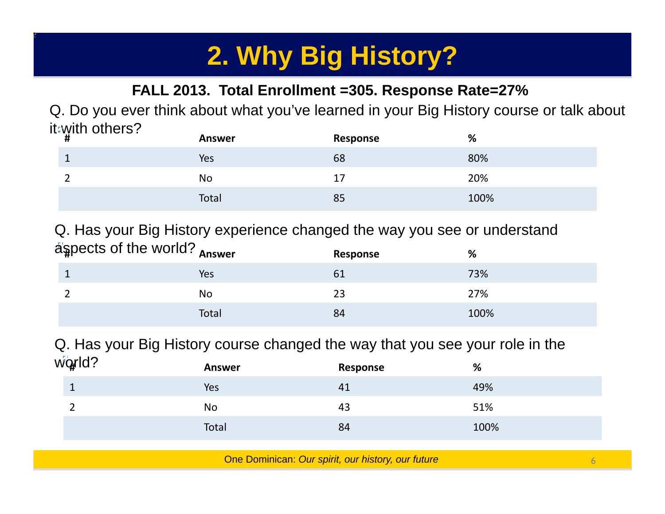# **2. Why Big History?**

#### **FALL 2013. Total Enrollment =305. Response Rate=27%**

Q. Do you ever think about what you've learned in your Big History course or talk about it:with others?

| $\#$ | <b>Answer</b> | Response | %    |
|------|---------------|----------|------|
| -    | Yes           | 68       | 80%  |
|      | No            | 17       | 20%  |
|      | Total         | 85       | 100% |

Q. Has your Big History experience changed the way you see or understand  $\frac{1}{2}$  **a And the world?** 

| a pous un une woma: Answer |              | <b>Response</b> | %    |
|----------------------------|--------------|-----------------|------|
|                            | Yes          | 61              | 73%  |
|                            | No           | 23              | 27%  |
|                            | <b>Total</b> | 84              | 100% |

Q. Has your Big History course changed the way that you see your role in the  $\sqrt{2}$  **Answer Response %** 

| wyµu : | <b>Answer</b> | Response | ℅    |
|--------|---------------|----------|------|
|        | Yes           | 41       | 49%  |
|        | No            | 43       | 51%  |
|        | Total         | 84       | 100% |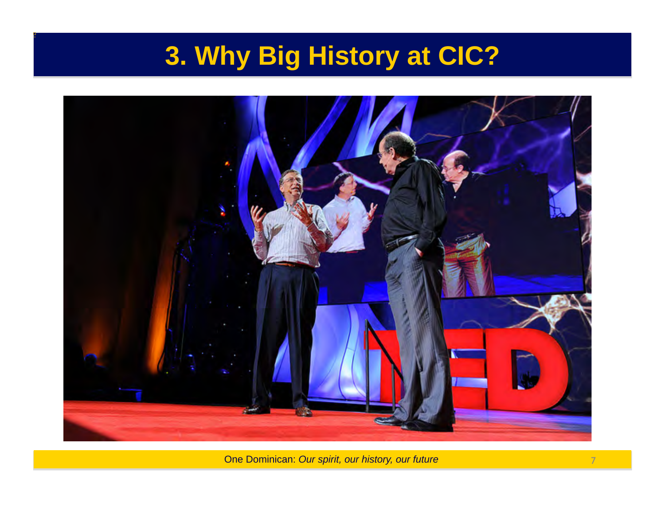## **3. Why Big History at CIC?**

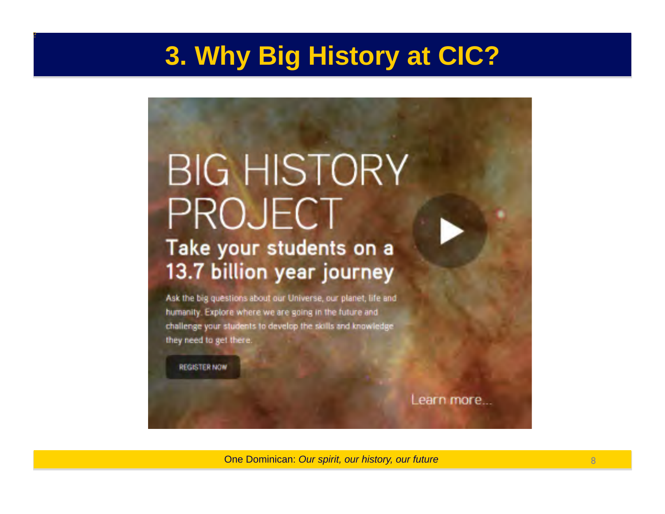#### **3. Why Big History at CIC?**

# **BIG HISTORY PROJECT** Take your students on a 13.7 billion year journey

Ask the big questions about our Universe, our planet, life and humanity. Explore where we are going in the future and challenge your students to develop the skills and knowledge they need to get there.

**REGISTER NOW** 

Learn more...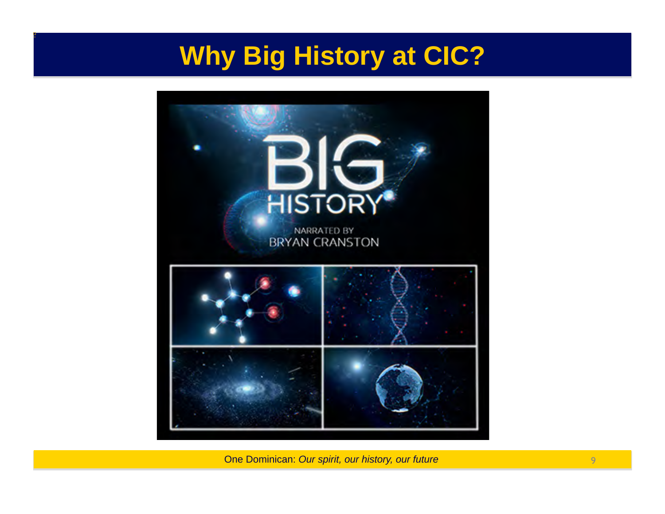## **Why Big History at CIC?**

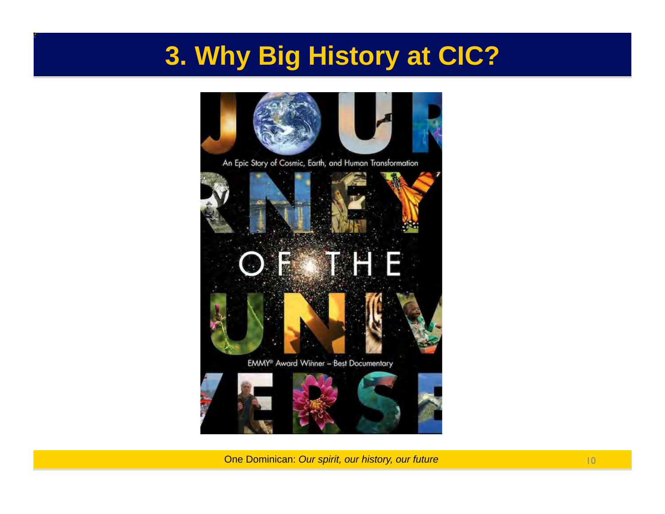### **3. Why Big History at CIC?**

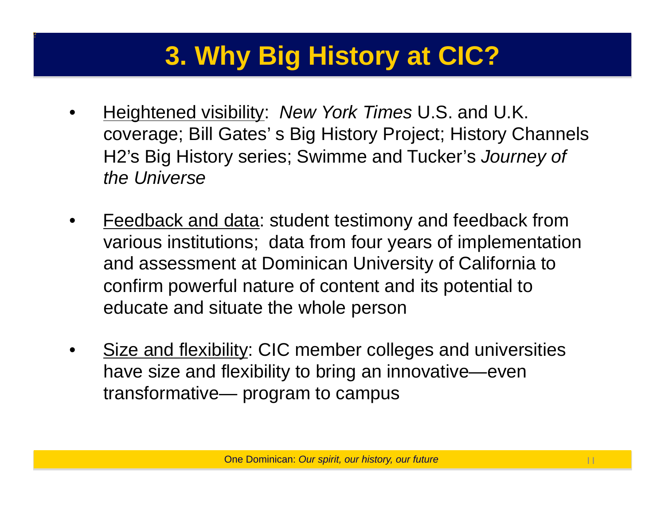## **3. Why Big History at CIC?**

- Heightened visibility: *New York Times* U.S. and U.K. coverage; Bill Gates' s Big History Project; History Channels H2's Big History series; Swimme and Tucker's *Journey of the Universe*
- **Feedback and data: student testimony and feedback from** various institutions; data from four years of implementation and assessment at Dominican University of California to confirm powerful nature of content and its potential to educate and situate the whole person
- Size and flexibility: CIC member colleges and universities have size and flexibility to bring an innovative—even transformative— program to campus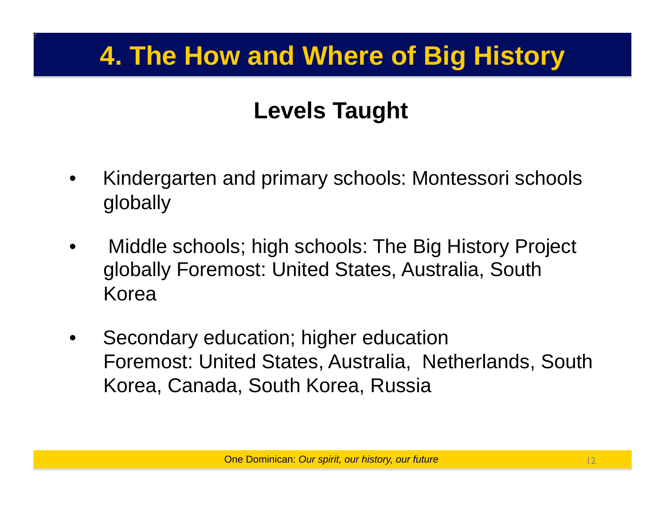## **4. The How and Where of Big History**

#### **Levels Taught**

- Kindergarten and primary schools: Montessori schools globally
- Middle schools; high schools: The Big History Project globally Foremost: United States, Australia, South Korea
- Secondary education; higher education Foremost: United States, Australia, Netherlands, South Korea, Canada, South Korea, Russia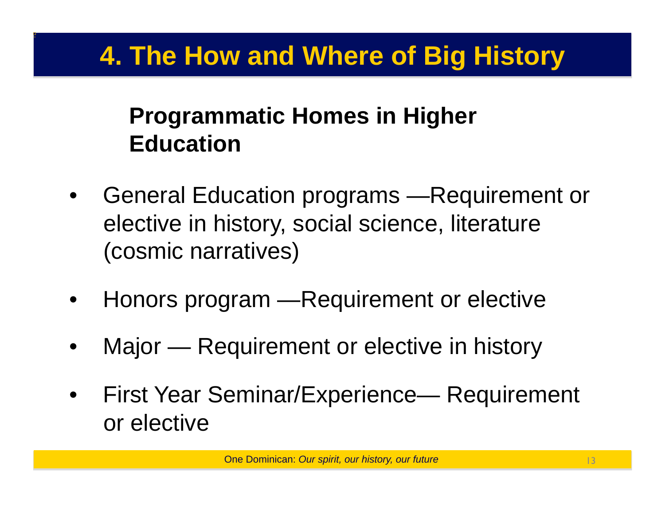## **4. The How and Where of Big History**

#### **Programmatic Homes in Higher Education**

- General Education programs —Requirement or elective in history, social science, literature (cosmic narratives)
- Honors program Requirement or elective
- Major Requirement or elective in history
- First Year Seminar/Experience— Requirement or elective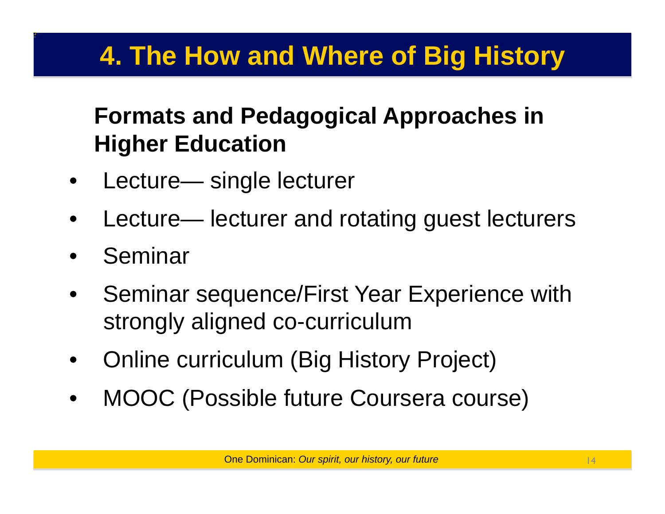## **4. The How and Where of Big History**

#### **Formats and Pedagogical Approaches in Higher Education**

- Lecture— single lecturer
- Lecture— lecturer and rotating guest lecturers
- **Seminar**
- Seminar sequence/First Year Experience with strongly aligned co-curriculum
- Online curriculum (Big History Project)
- MOOC (Possible future Coursera course)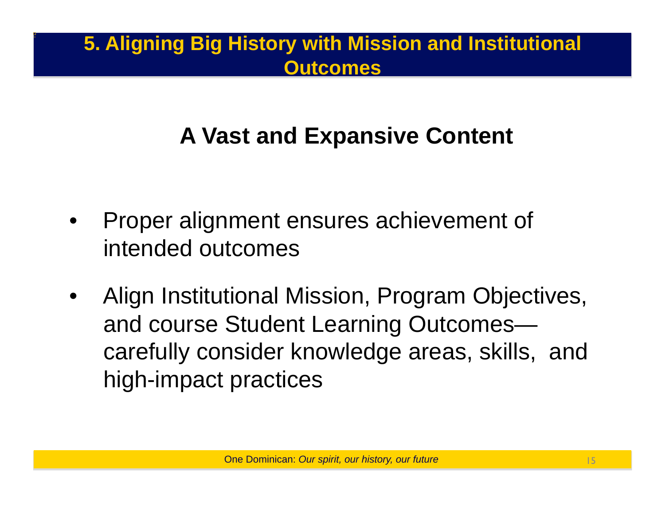#### **5. Aligning Big History with Mission and Institutional Outcomes**

#### **A Vast and Expansive Content**

- Proper alignment ensures achievement of intended outcomes
- Align Institutional Mission, Program Objectives, and course Student Learning Outcomes carefully consider knowledge areas, skills, and high-impact practices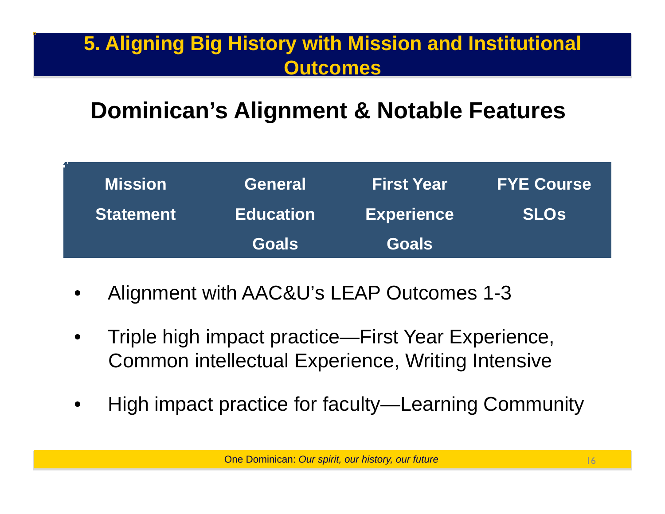#### **5. Aligning Big History with Mission and Institutional Outcomes**

#### **Dominican's Alignment & Notable Features**

| <b>Mission</b>   | <b>General</b>   | <b>First Year</b> | <b>FYE Course</b> |
|------------------|------------------|-------------------|-------------------|
| <b>Statement</b> | <b>Education</b> | <b>Experience</b> | <b>SLOS</b>       |
|                  | <b>Goals</b>     | <b>Goals</b>      |                   |

- Alignment with AAC&U's LEAP Outcomes 1-3
- Triple high impact practice—First Year Experience, Common intellectual Experience, Writing Intensive
- High impact practice for faculty—Learning Community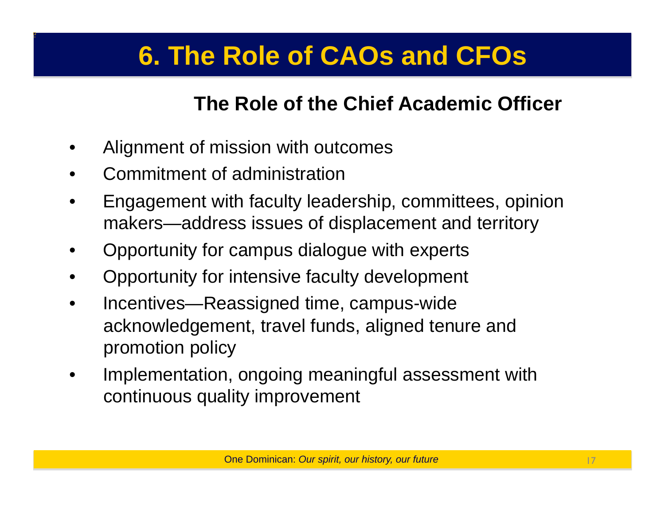## **6. The Role of CAOs and CFOs**

#### **The Role of the Chief Academic Officer**

- Alignment of mission with outcomes
- Commitment of administration
- Engagement with faculty leadership, committees, opinion makers—address issues of displacement and territory
- Opportunity for campus dialogue with experts
- Opportunity for intensive faculty development
- Incentives—Reassigned time, campus-wide acknowledgement, travel funds, aligned tenure and promotion policy
- Implementation, ongoing meaningful assessment with continuous quality improvement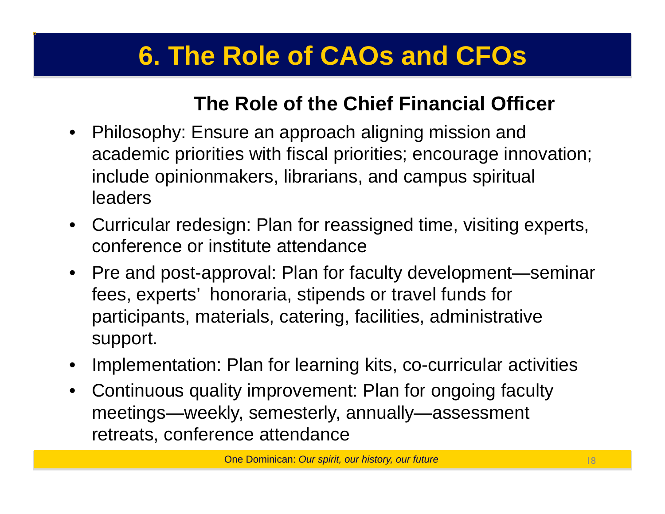## **6. The Role of CAOs and CFOs**

#### **The Role of the Chief Financial Officer**

- Philosophy: Ensure an approach aligning mission and academic priorities with fiscal priorities; encourage innovation; include opinionmakers, librarians, and campus spiritual leaders
- Curricular redesign: Plan for reassigned time, visiting experts, conference or institute attendance
- Pre and post-approval: Plan for faculty development—seminar fees, experts' honoraria, stipends or travel funds for participants, materials, catering, facilities, administrative support.
- Implementation: Plan for learning kits, co-curricular activities
- Continuous quality improvement: Plan for ongoing faculty meetings—weekly, semesterly, annually—assessment retreats, conference attendance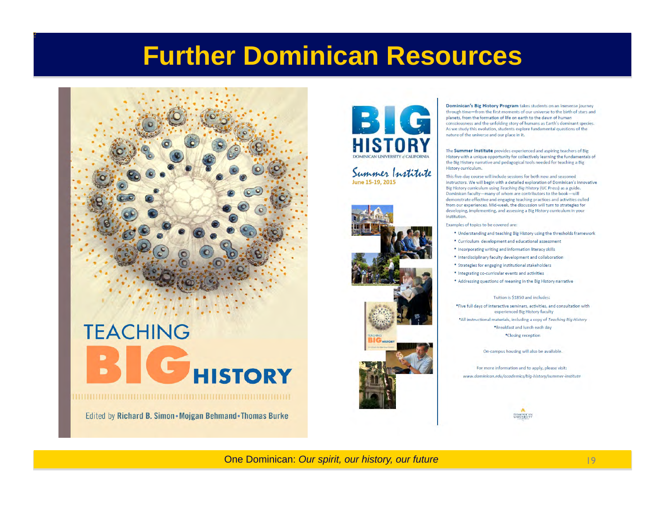#### **Further Dominican Resources**



# **TEACHING HISTORY**

#### 

Edited by Richard B. Simon . Mojgan Behmand . Thomas Burke



Summer Institute June 15-19, 2015



Dominican's Big History Program takes students on an immense journey through time-from the first moments of our universe to the birth of stars and planets, from the formation of life on earth to the dawn of human consciousness and the unfolding story of humans as Earth's dominant species. As we study this evolution, students explore fundamental questions of the nature of the universe and our place in it.

The Summer Institute provides experienced and aspiring teachers of Big History with a unique opportunity for collectively learning the fundamentals of the Big History narrative and pedagogical tools needed for teaching a Big History curriculum.

This five-day course will include sessions for both new and seasoned instructors. We will begin with a detailed exploration of Dominican's innovative Big History curriculum using Teaching Big History (UC Press) as a guide. Dominican faculty-many of whom are contributors to the book-will demonstrate effective and engaging teaching practices and activities culled from our experiences. Mid-week, the discussion will turn to strategies for developing, implementing, and assessing a Big History curriculum in your institution.

Examples of topics to be covered are:

- . Understanding and teaching Big History using the thresholds framework
- \* Curriculum development and educational assessment
- Incorporating writing and information literacy skills
- · Interdisciplinary faculty development and collaboration
- . Strategies for engaging institutional stakeholders
- . Integrating co-curricular events and activities
- \* Addressing questions of meaning in the Big History narrative

#### Tuition is \$1850 and includes:

\*Five full days of interactive seminars, activities, and consultation with experienced Big History faculty \*All instructional materials, including a copy of Teaching Big History \*Breakfast and lunch each day \*Closing reception

On-campus housing will also be available.

For more information and to apply, please visit: www.dominican.edu/academics/big-history/summer-institute

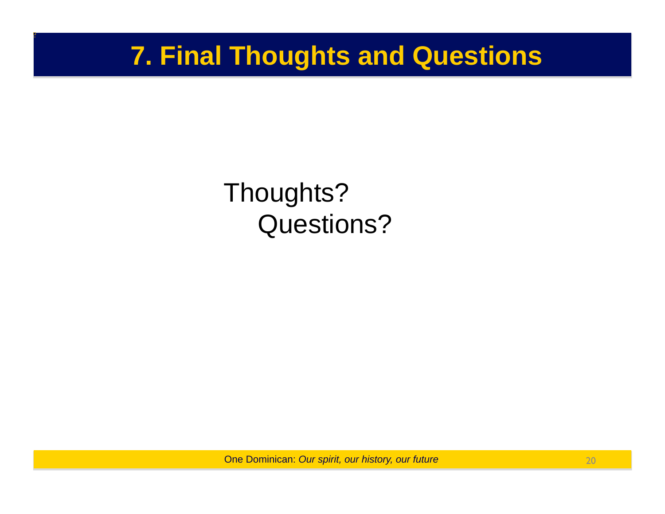#### **7. Final Thoughts and Questions**

### Thoughts? Questions?